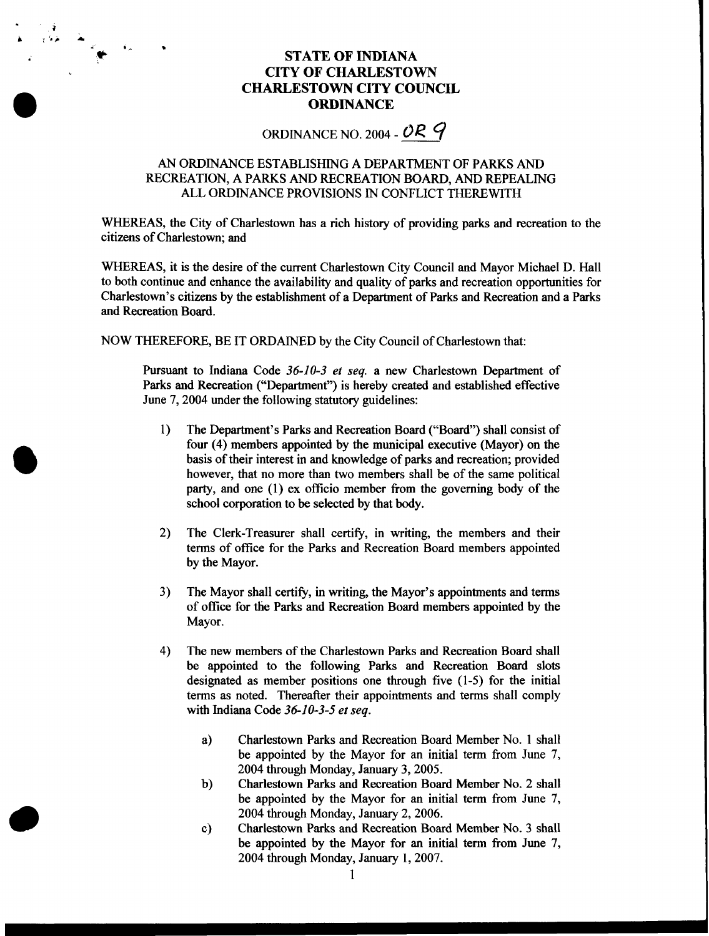## **STATE OF INDIANA CITY OF CHARLESTOWN CHARLESTOWN CITY COUNCIL ORDINANCE**

ORDINANCE NO. 2004 - *OR 9* 

## AN ORDINANCE ESTABLISHING **A** DEPARTMENT OF PARKS AND RECREATION, A PARKS AND RECREATION BOARD, AND REPEALING ALL ORDINANCE PROVISIONS IN CONFLICT THEREWITH

WHEREAS, the City of Charlestown has a rich history of providing parks and recreation to the citizens of Charlestown; and

WHEREAS, it is the desire of the current Charlestown City Council and Mayor Michael D. Hall to both continue and enhance the availability and quality of parks and recreation opportunities for Charlestown's citizens by the establishment of a Department of Parks and Recreation and a Parks and Recreation Board.

NOW THEREFORE, BE IT ORDAINED by the City Council of Charlestown that:

Pursuant to Indiana Code 36-10-3 et seq. a new Charlestown Department of Parks and Recreation ("Department") is hereby created and established effective June 7,2004 under the following statutory guidelines:

- 1) The Department's Parks and Recreation Board ("Board") shall consist of four (4) members appointed by the municipal executive (Mayor) on the basis of their interest in and knowledge of parks and recreation; provided however, that no more than two members shall be of the same political party, and one (1) ex officio member **from** the governing body of the school corporation to be selected by that body.
- The Clerk-Treasurer shall certify, in writing, the members and their terms of office for the Parks and Recreation Board members appointed by the Mayor. 2)
- The Mayor shall certify, in writing, the Mayor's appointments and terms of office for the Parks and Recreation Board members appointed by the Mayor. 3)
- The new members of the Charlestown Parks and Recreation Board shall be appointed to the following Parks and Recreation Board slots designated as member positions one through five (1-5) for the initial terms as noted. Thereafter their appointments and terms shall comply with Indiana Code 36-10-3-5 et seq. 4)
	- a) Charlestown Parks and Recreation Board Member No. 1 shall be appointed by the Mayor for an initial term from June 7, 2004 through Monday, January 3,2005.
	- Charlestown Parks and Recreation Board Member No. 2 shall be appointed by the Mayor for an initial term from June 7, 2004 through Monday, January 2, 2006. b)
	- Charlestown Parks and Recreation Board Member No. 3 shall be appointed by the Mayor for an initial term from June 7, 2004 through Monday, January 1,2007. c)